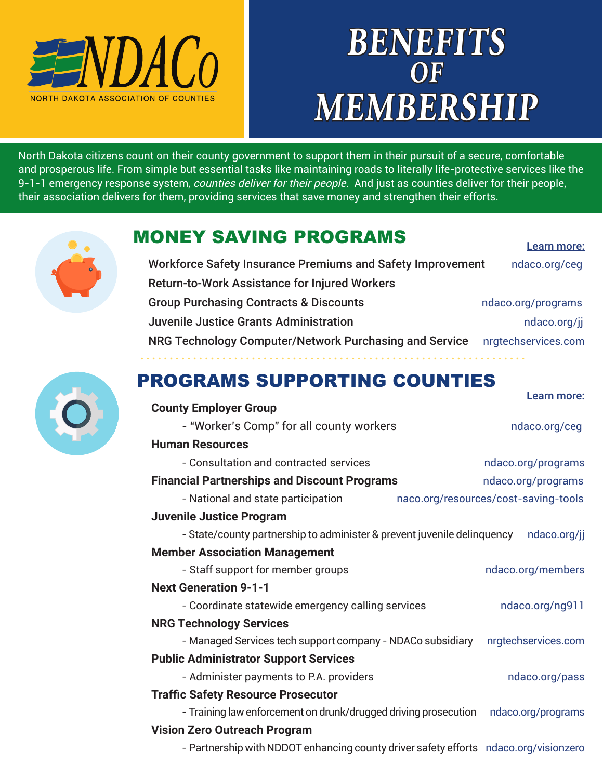

# **BENEFITS OF MEMBERSHIP**

Learn more:

Learn more:

North Dakota citizens count on their county government to support them in their pursuit of a secure, comfortable and prosperous life. From simple but essential tasks like maintaining roads to literally life-protective services like the 9-1-1 emergency response system, counties deliver for their people. And just as counties deliver for their people, their association delivers for them, providing services that save money and strengthen their efforts.

## MONEY SAVING PROGRAMS

| Workforce Safety Insurance Premiums and Safety Improvement | ndaco.org/ceg       |
|------------------------------------------------------------|---------------------|
| <b>Return-to-Work Assistance for Injured Workers</b>       |                     |
| <b>Group Purchasing Contracts &amp; Discounts</b>          | ndaco.org/programs  |
| <b>Juvenile Justice Grants Administration</b>              | ndaco.org/ji        |
| NRG Technology Computer/Network Purchasing and Service     | nrgtechservices.com |



# PROGRAMS SUPPORTING COUNTIES

. . . . . . . . . .

| <b>County Employer Group</b>                                                         | LCQIII IIIUIC.                       |
|--------------------------------------------------------------------------------------|--------------------------------------|
| - "Worker's Comp" for all county workers                                             | ndaco.org/ceg                        |
| <b>Human Resources</b>                                                               |                                      |
| - Consultation and contracted services                                               | ndaco.org/programs                   |
| <b>Financial Partnerships and Discount Programs</b>                                  | ndaco.org/programs                   |
| - National and state participation                                                   | naco.org/resources/cost-saving-tools |
| <b>Juvenile Justice Program</b>                                                      |                                      |
| - State/county partnership to administer & prevent juvenile delinquency              | ndaco.org/jj                         |
| <b>Member Association Management</b>                                                 |                                      |
| - Staff support for member groups                                                    | ndaco.org/members                    |
| <b>Next Generation 9-1-1</b>                                                         |                                      |
| - Coordinate statewide emergency calling services                                    | ndaco.org/ng911                      |
| <b>NRG Technology Services</b>                                                       |                                      |
| - Managed Services tech support company - NDACo subsidiary                           | nrgtechservices.com                  |
| <b>Public Administrator Support Services</b>                                         |                                      |
| - Administer payments to P.A. providers                                              | ndaco.org/pass                       |
| <b>Traffic Safety Resource Prosecutor</b>                                            |                                      |
| - Training law enforcement on drunk/drugged driving prosecution                      | ndaco.org/programs                   |
| <b>Vision Zero Outreach Program</b>                                                  |                                      |
| - Partnership with NDDOT enhancing county driver safety efforts ndaco.org/visionzero |                                      |